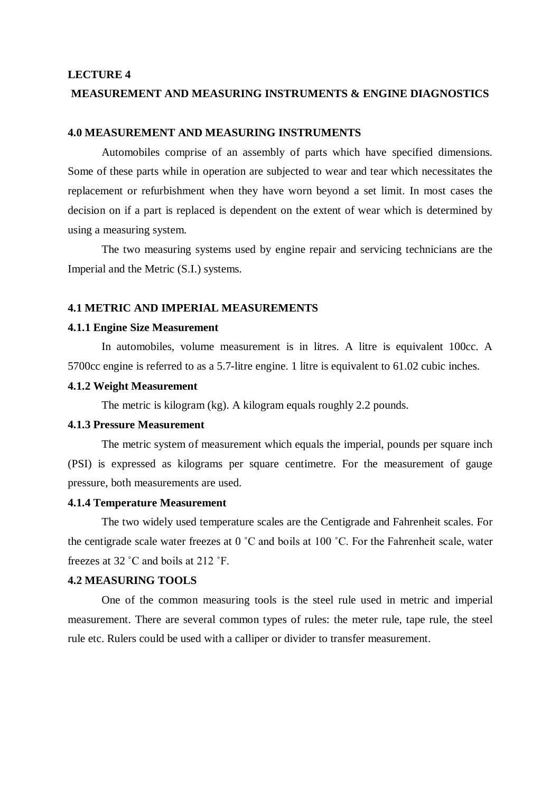#### **LECTURE 4**

## **MEASUREMENT AND MEASURING INSTRUMENTS & ENGINE DIAGNOSTICS**

## **4.0 MEASUREMENT AND MEASURING INSTRUMENTS**

Automobiles comprise of an assembly of parts which have specified dimensions. Some of these parts while in operation are subjected to wear and tear which necessitates the replacement or refurbishment when they have worn beyond a set limit. In most cases the decision on if a part is replaced is dependent on the extent of wear which is determined by using a measuring system.

The two measuring systems used by engine repair and servicing technicians are the Imperial and the Metric (S.I.) systems.

## **4.1 METRIC AND IMPERIAL MEASUREMENTS**

## **4.1.1 Engine Size Measurement**

In automobiles, volume measurement is in litres. A litre is equivalent 100cc. A 5700cc engine is referred to as a 5.7-litre engine. 1 litre is equivalent to 61.02 cubic inches.

## **4.1.2 Weight Measurement**

The metric is kilogram (kg). A kilogram equals roughly 2.2 pounds.

#### **4.1.3 Pressure Measurement**

The metric system of measurement which equals the imperial, pounds per square inch (PSI) is expressed as kilograms per square centimetre. For the measurement of gauge pressure, both measurements are used.

#### **4.1.4 Temperature Measurement**

The two widely used temperature scales are the Centigrade and Fahrenheit scales. For the centigrade scale water freezes at 0 ˚C and boils at 100 ˚C. For the Fahrenheit scale, water freezes at 32 ˚C and boils at 212 ˚F.

## **4.2 MEASURING TOOLS**

One of the common measuring tools is the steel rule used in metric and imperial measurement. There are several common types of rules: the meter rule, tape rule, the steel rule etc. Rulers could be used with a calliper or divider to transfer measurement.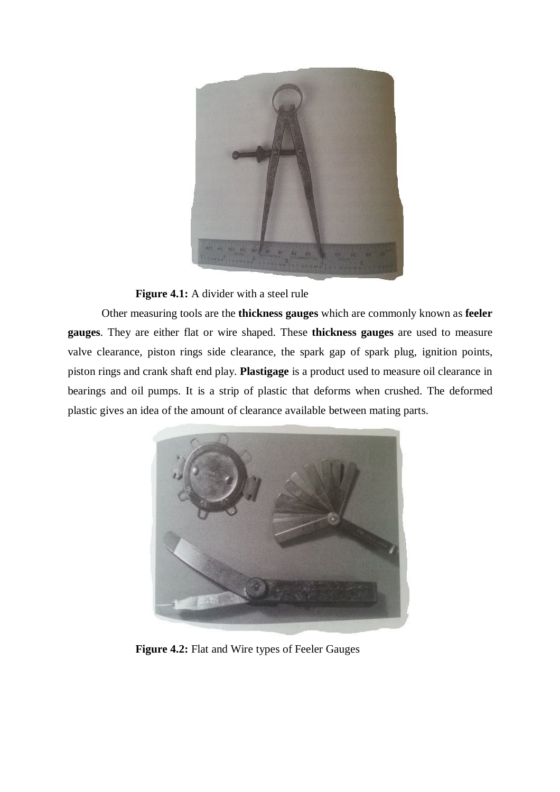

# **Figure 4.1:** A divider with a steel rule

Other measuring tools are the **thickness gauges** which are commonly known as **feeler gauges**. They are either flat or wire shaped. These **thickness gauges** are used to measure valve clearance, piston rings side clearance, the spark gap of spark plug, ignition points, piston rings and crank shaft end play. **Plastigage** is a product used to measure oil clearance in bearings and oil pumps. It is a strip of plastic that deforms when crushed. The deformed plastic gives an idea of the amount of clearance available between mating parts.



**Figure 4.2:** Flat and Wire types of Feeler Gauges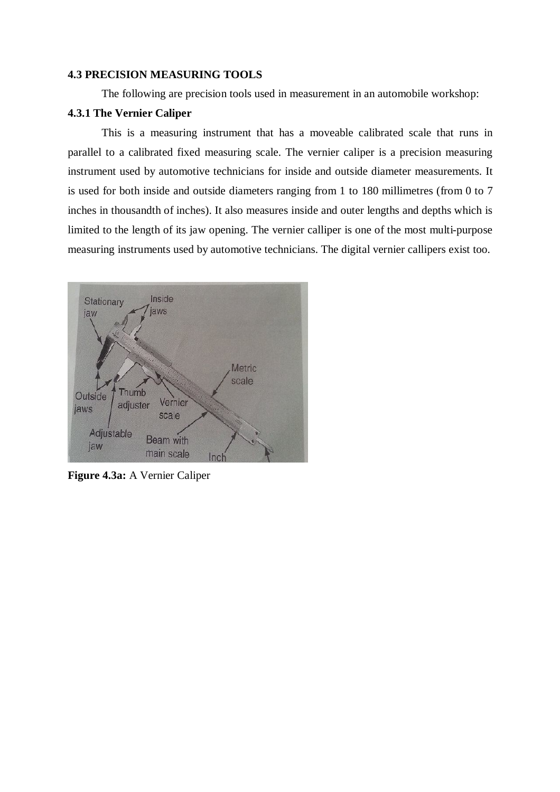#### **4.3 PRECISION MEASURING TOOLS**

The following are precision tools used in measurement in an automobile workshop:

## **4.3.1 The Vernier Caliper**

This is a measuring instrument that has a moveable calibrated scale that runs in parallel to a calibrated fixed measuring scale. The vernier caliper is a precision measuring instrument used by automotive technicians for inside and outside diameter measurements. It is used for both inside and outside diameters ranging from 1 to 180 millimetres (from 0 to 7 inches in thousandth of inches). It also measures inside and outer lengths and depths which is limited to the length of its jaw opening. The vernier calliper is one of the most multi-purpose measuring instruments used by automotive technicians. The digital vernier callipers exist too.



**Figure 4.3a:** A Vernier Caliper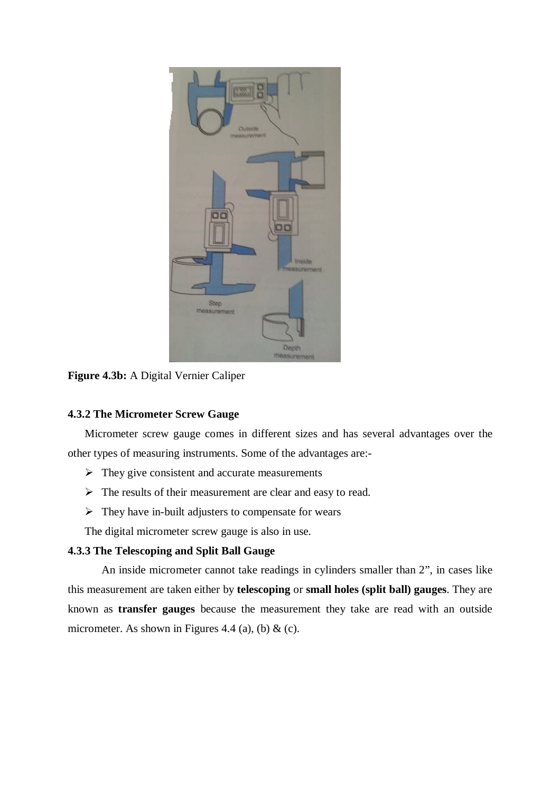

**Figure 4.3b:** A Digital Vernier Caliper

# **4.3.2 The Micrometer Screw Gauge**

Micrometer screw gauge comes in different sizes and has several advantages over the other types of measuring instruments. Some of the advantages are:-

- $\triangleright$  They give consistent and accurate measurements
- $\triangleright$  The results of their measurement are clear and easy to read.
- $\triangleright$  They have in-built adjusters to compensate for wears

The digital micrometer screw gauge is also in use.

# **4.3.3 The Telescoping and Split Ball Gauge**

An inside micrometer cannot take readings in cylinders smaller than 2", in cases like this measurement are taken either by **telescoping** or **small holes (split ball) gauges**. They are known as **transfer gauges** because the measurement they take are read with an outside micrometer. As shown in Figures 4.4 (a), (b)  $\&$  (c).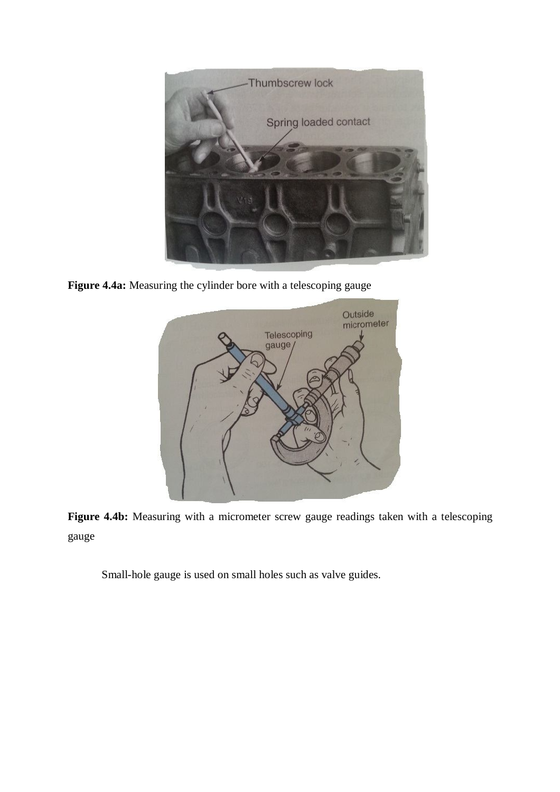

**Figure 4.4a:** Measuring the cylinder bore with a telescoping gauge



**Figure 4.4b:** Measuring with a micrometer screw gauge readings taken with a telescoping gauge

Small-hole gauge is used on small holes such as valve guides.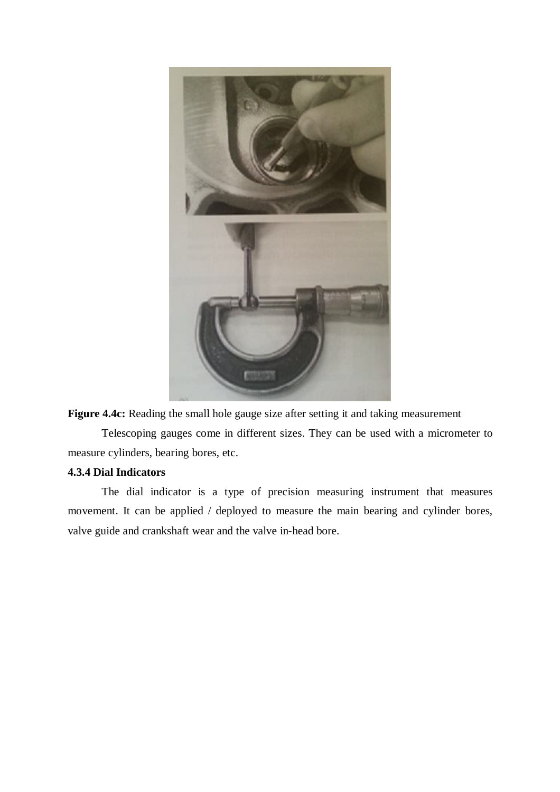

**Figure 4.4c:** Reading the small hole gauge size after setting it and taking measurement

Telescoping gauges come in different sizes. They can be used with a micrometer to measure cylinders, bearing bores, etc.

# **4.3.4 Dial Indicators**

The dial indicator is a type of precision measuring instrument that measures movement. It can be applied / deployed to measure the main bearing and cylinder bores, valve guide and crankshaft wear and the valve in-head bore.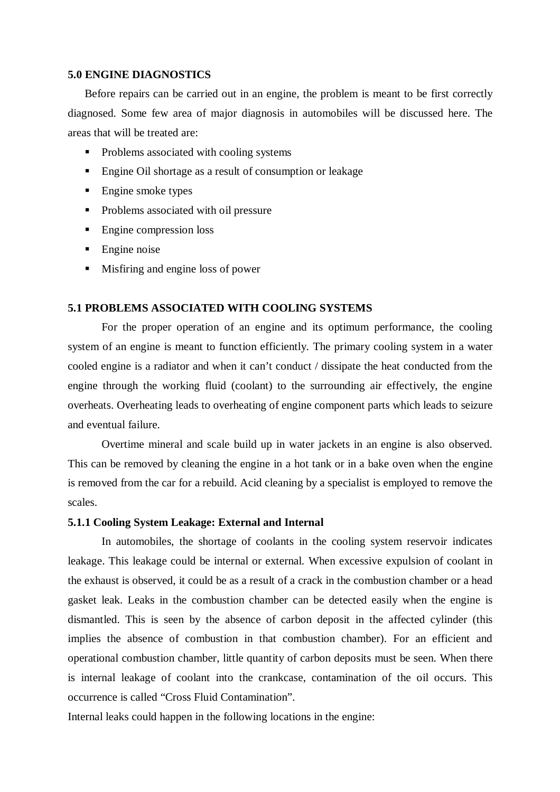## **5.0 ENGINE DIAGNOSTICS**

Before repairs can be carried out in an engine, the problem is meant to be first correctly diagnosed. Some few area of major diagnosis in automobiles will be discussed here. The areas that will be treated are:

- Problems associated with cooling systems
- Engine Oil shortage as a result of consumption or leakage
- Engine smoke types
- Problems associated with oil pressure
- Engine compression loss
- Engine noise
- Misfiring and engine loss of power

## **5.1 PROBLEMS ASSOCIATED WITH COOLING SYSTEMS**

For the proper operation of an engine and its optimum performance, the cooling system of an engine is meant to function efficiently. The primary cooling system in a water cooled engine is a radiator and when it can't conduct / dissipate the heat conducted from the engine through the working fluid (coolant) to the surrounding air effectively, the engine overheats. Overheating leads to overheating of engine component parts which leads to seizure and eventual failure.

Overtime mineral and scale build up in water jackets in an engine is also observed. This can be removed by cleaning the engine in a hot tank or in a bake oven when the engine is removed from the car for a rebuild. Acid cleaning by a specialist is employed to remove the scales.

#### **5.1.1 Cooling System Leakage: External and Internal**

In automobiles, the shortage of coolants in the cooling system reservoir indicates leakage. This leakage could be internal or external. When excessive expulsion of coolant in the exhaust is observed, it could be as a result of a crack in the combustion chamber or a head gasket leak. Leaks in the combustion chamber can be detected easily when the engine is dismantled. This is seen by the absence of carbon deposit in the affected cylinder (this implies the absence of combustion in that combustion chamber). For an efficient and operational combustion chamber, little quantity of carbon deposits must be seen. When there is internal leakage of coolant into the crankcase, contamination of the oil occurs. This occurrence is called "Cross Fluid Contamination".

Internal leaks could happen in the following locations in the engine: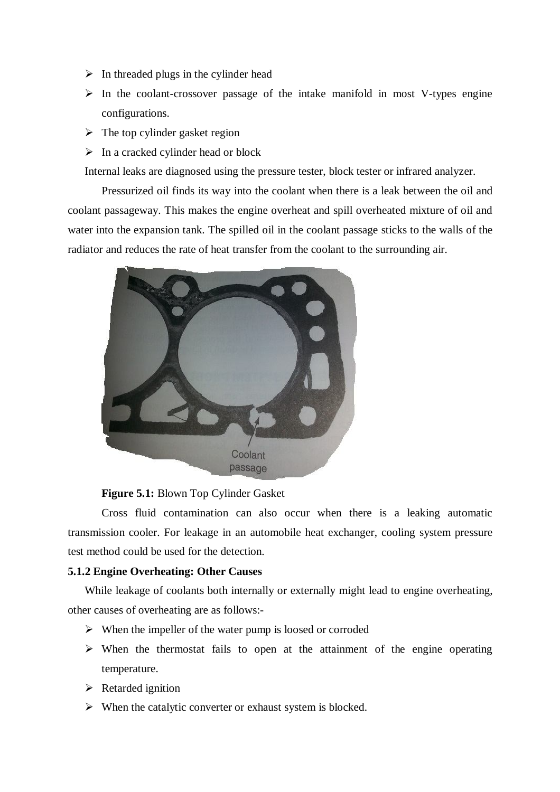- $\triangleright$  In threaded plugs in the cylinder head
- $\triangleright$  In the coolant-crossover passage of the intake manifold in most V-types engine configurations.
- $\triangleright$  The top cylinder gasket region
- $\triangleright$  In a cracked cylinder head or block

Internal leaks are diagnosed using the pressure tester, block tester or infrared analyzer.

Pressurized oil finds its way into the coolant when there is a leak between the oil and coolant passageway. This makes the engine overheat and spill overheated mixture of oil and water into the expansion tank. The spilled oil in the coolant passage sticks to the walls of the radiator and reduces the rate of heat transfer from the coolant to the surrounding air.



## **Figure 5.1:** Blown Top Cylinder Gasket

Cross fluid contamination can also occur when there is a leaking automatic transmission cooler. For leakage in an automobile heat exchanger, cooling system pressure test method could be used for the detection.

## **5.1.2 Engine Overheating: Other Causes**

While leakage of coolants both internally or externally might lead to engine overheating, other causes of overheating are as follows:-

- $\triangleright$  When the impeller of the water pump is loosed or corroded
- $\triangleright$  When the thermostat fails to open at the attainment of the engine operating temperature.
- $\triangleright$  Retarded ignition
- $\triangleright$  When the catalytic converter or exhaust system is blocked.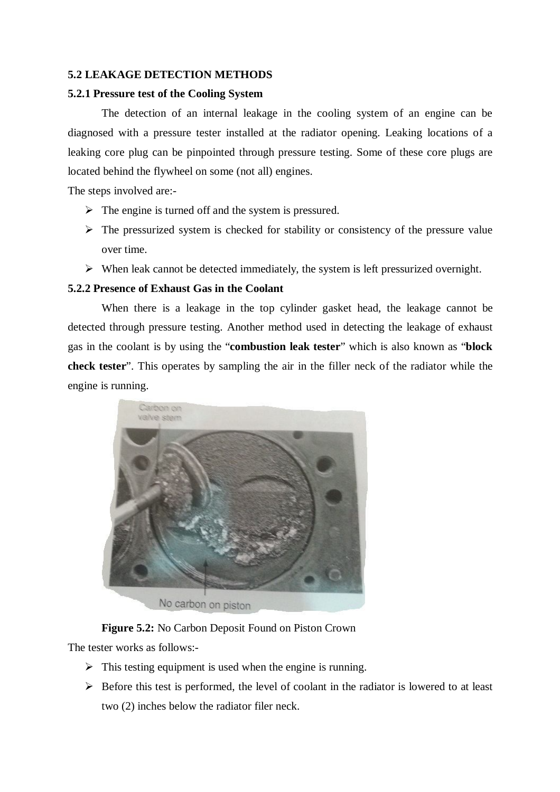## **5.2 LEAKAGE DETECTION METHODS**

## **5.2.1 Pressure test of the Cooling System**

The detection of an internal leakage in the cooling system of an engine can be diagnosed with a pressure tester installed at the radiator opening. Leaking locations of a leaking core plug can be pinpointed through pressure testing. Some of these core plugs are located behind the flywheel on some (not all) engines.

The steps involved are:-

- $\triangleright$  The engine is turned off and the system is pressured.
- $\triangleright$  The pressurized system is checked for stability or consistency of the pressure value over time.
- $\triangleright$  When leak cannot be detected immediately, the system is left pressurized overnight.

# **5.2.2 Presence of Exhaust Gas in the Coolant**

When there is a leakage in the top cylinder gasket head, the leakage cannot be detected through pressure testing. Another method used in detecting the leakage of exhaust gas in the coolant is by using the "**combustion leak tester**" which is also known as "**block check tester**". This operates by sampling the air in the filler neck of the radiator while the engine is running.



**Figure 5.2:** No Carbon Deposit Found on Piston Crown

The tester works as follows:-

- $\triangleright$  This testing equipment is used when the engine is running.
- $\triangleright$  Before this test is performed, the level of coolant in the radiator is lowered to at least two (2) inches below the radiator filer neck.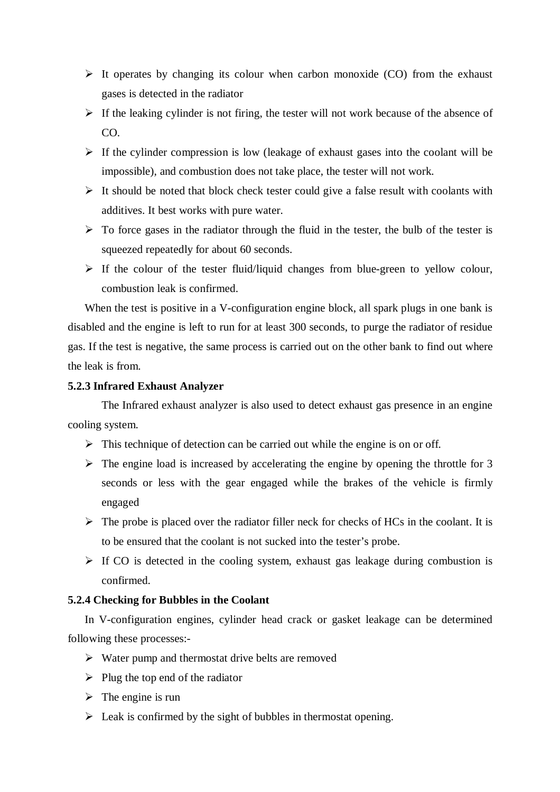- $\triangleright$  It operates by changing its colour when carbon monoxide (CO) from the exhaust gases is detected in the radiator
- $\triangleright$  If the leaking cylinder is not firing, the tester will not work because of the absence of  $CO<sub>2</sub>$
- $\triangleright$  If the cylinder compression is low (leakage of exhaust gases into the coolant will be impossible), and combustion does not take place, the tester will not work.
- $\triangleright$  It should be noted that block check tester could give a false result with coolants with additives. It best works with pure water.
- $\triangleright$  To force gases in the radiator through the fluid in the tester, the bulb of the tester is squeezed repeatedly for about 60 seconds.
- $\triangleright$  If the colour of the tester fluid/liquid changes from blue-green to yellow colour, combustion leak is confirmed.

When the test is positive in a V-configuration engine block, all spark plugs in one bank is disabled and the engine is left to run for at least 300 seconds, to purge the radiator of residue gas. If the test is negative, the same process is carried out on the other bank to find out where the leak is from.

## **5.2.3 Infrared Exhaust Analyzer**

The Infrared exhaust analyzer is also used to detect exhaust gas presence in an engine cooling system.

- $\triangleright$  This technique of detection can be carried out while the engine is on or off.
- $\triangleright$  The engine load is increased by accelerating the engine by opening the throttle for 3 seconds or less with the gear engaged while the brakes of the vehicle is firmly engaged
- $\triangleright$  The probe is placed over the radiator filler neck for checks of HCs in the coolant. It is to be ensured that the coolant is not sucked into the tester's probe.
- $\triangleright$  If CO is detected in the cooling system, exhaust gas leakage during combustion is confirmed.

## **5.2.4 Checking for Bubbles in the Coolant**

In V-configuration engines, cylinder head crack or gasket leakage can be determined following these processes:-

- $\triangleright$  Water pump and thermostat drive belts are removed
- $\triangleright$  Plug the top end of the radiator
- $\triangleright$  The engine is run
- $\triangleright$  Leak is confirmed by the sight of bubbles in thermostat opening.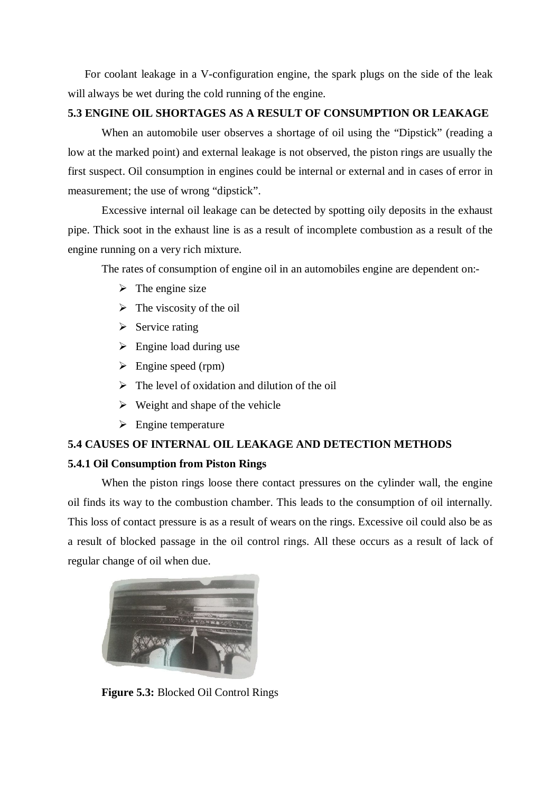For coolant leakage in a V-configuration engine, the spark plugs on the side of the leak will always be wet during the cold running of the engine.

# **5.3 ENGINE OIL SHORTAGES AS A RESULT OF CONSUMPTION OR LEAKAGE**

When an automobile user observes a shortage of oil using the "Dipstick" (reading a low at the marked point) and external leakage is not observed, the piston rings are usually the first suspect. Oil consumption in engines could be internal or external and in cases of error in measurement; the use of wrong "dipstick".

Excessive internal oil leakage can be detected by spotting oily deposits in the exhaust pipe. Thick soot in the exhaust line is as a result of incomplete combustion as a result of the engine running on a very rich mixture.

The rates of consumption of engine oil in an automobiles engine are dependent on:-

- $\triangleright$  The engine size
- $\triangleright$  The viscosity of the oil
- $\triangleright$  Service rating
- $\triangleright$  Engine load during use
- $\triangleright$  Engine speed (rpm)
- $\triangleright$  The level of oxidation and dilution of the oil
- $\triangleright$  Weight and shape of the vehicle
- $\triangleright$  Engine temperature

# **5.4 CAUSES OF INTERNAL OIL LEAKAGE AND DETECTION METHODS 5.4.1 Oil Consumption from Piston Rings**

When the piston rings loose there contact pressures on the cylinder wall, the engine oil finds its way to the combustion chamber. This leads to the consumption of oil internally. This loss of contact pressure is as a result of wears on the rings. Excessive oil could also be as a result of blocked passage in the oil control rings. All these occurs as a result of lack of regular change of oil when due.



**Figure 5.3:** Blocked Oil Control Rings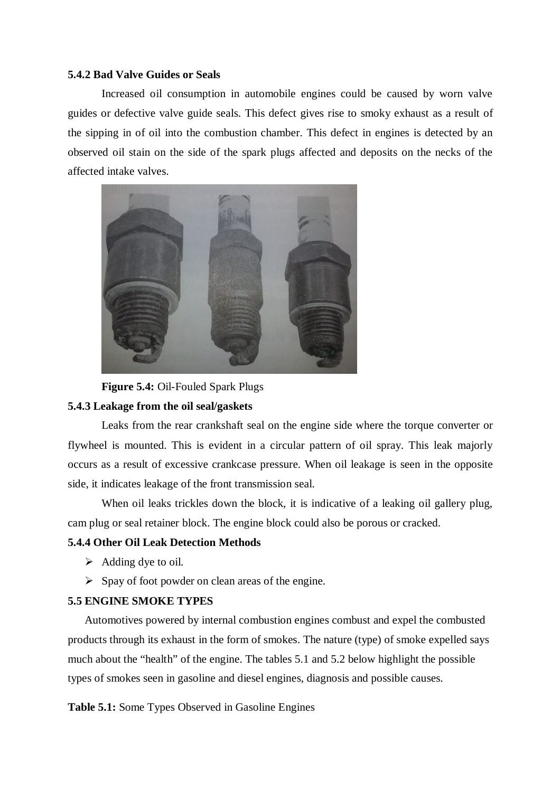## **5.4.2 Bad Valve Guides or Seals**

Increased oil consumption in automobile engines could be caused by worn valve guides or defective valve guide seals. This defect gives rise to smoky exhaust as a result of the sipping in of oil into the combustion chamber. This defect in engines is detected by an observed oil stain on the side of the spark plugs affected and deposits on the necks of the affected intake valves.



**Figure 5.4:** Oil-Fouled Spark Plugs **5.4.3 Leakage from the oil seal/gaskets**

Leaks from the rear crankshaft seal on the engine side where the torque converter or flywheel is mounted. This is evident in a circular pattern of oil spray. This leak majorly occurs as a result of excessive crankcase pressure. When oil leakage is seen in the opposite side, it indicates leakage of the front transmission seal.

When oil leaks trickles down the block, it is indicative of a leaking oil gallery plug, cam plug or seal retainer block. The engine block could also be porous or cracked.

## **5.4.4 Other Oil Leak Detection Methods**

- $\triangleright$  Adding dye to oil.
- $\triangleright$  Spay of foot powder on clean areas of the engine.

#### **5.5 ENGINE SMOKE TYPES**

Automotives powered by internal combustion engines combust and expel the combusted products through its exhaust in the form of smokes. The nature (type) of smoke expelled says much about the "health" of the engine. The tables 5.1 and 5.2 below highlight the possible types of smokes seen in gasoline and diesel engines, diagnosis and possible causes.

**Table 5.1:** Some Types Observed in Gasoline Engines